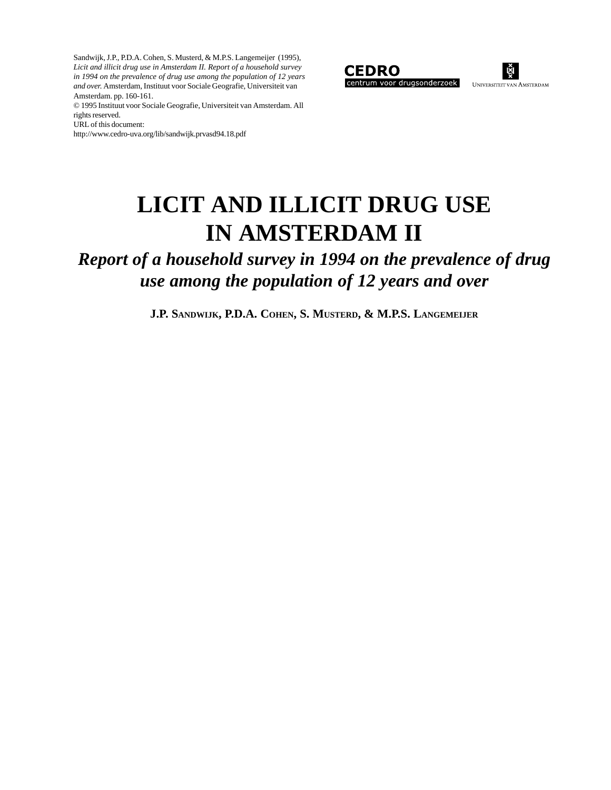Sandwijk, J.P., P.D.A. Cohen, S. Musterd, & M.P.S. Langemeijer (1995), *Licit and illicit drug use in Amsterdam II. Report of a household survey in 1994 on the prevalence of drug use among the population of 12 years and over.* Amsterdam, Instituut voor Sociale Geografie, Universiteit van Amsterdam. pp. 160-161.

© 1995 Instituut voor Sociale Geografie, Universiteit van Amsterdam. All rights reserved.

URL of this document:

http://www.cedro-uva.org/lib/sandwijk.prvasd94.18.pdf





## **LICIT AND ILLICIT DRUG USE IN AMSTERDAM II**

*Report of a household survey in 1994 on the prevalence of drug use among the population of 12 years and over*

**J.P. SANDWIJK, P.D.A. COHEN, S. MUSTERD, & M.P.S. LANGEMEIJER**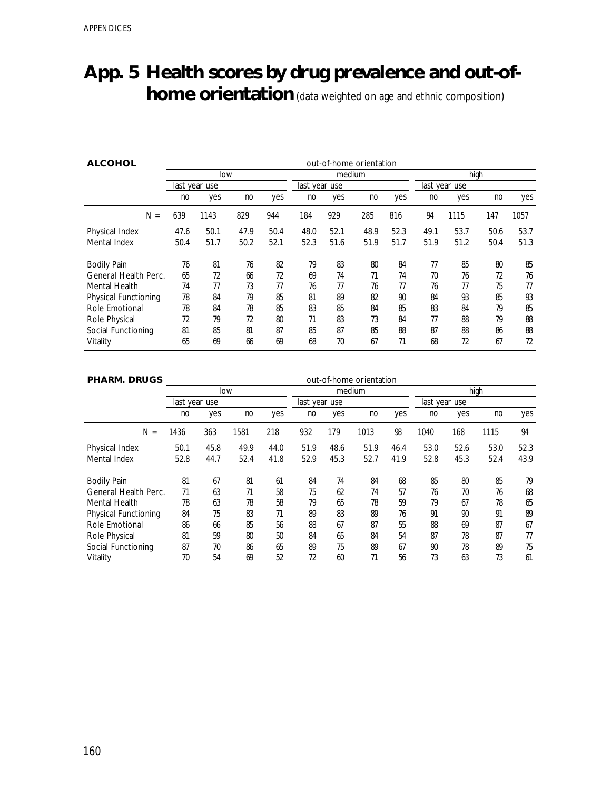## **App. 5 Health scores by drug prevalence and out-ofhome orientation** (data weighted on age and ethnic composition)

| <b>ALCOHOL</b>              |      | out-of-home orientation |      |      |               |      |        |      |               |      |      |      |  |  |
|-----------------------------|------|-------------------------|------|------|---------------|------|--------|------|---------------|------|------|------|--|--|
|                             | low  |                         |      |      |               |      | medium |      | high          |      |      |      |  |  |
|                             |      | last year use           |      |      | last year use |      |        |      | last year use |      |      |      |  |  |
|                             | no   | yes                     | no   | yes  | no            | yes  | no     | yes  | no            | yes  | no   | yes  |  |  |
| $N =$                       | 639  | 1143                    | 829  | 944  | 184           | 929  | 285    | 816  | 94            | 1115 | 147  | 1057 |  |  |
| Physical Index              | 47.6 | 50.1                    | 47.9 | 50.4 | 48.0          | 52.1 | 48.9   | 52.3 | 49.1          | 53.7 | 50.6 | 53.7 |  |  |
| Mental Index                | 50.4 | 51.7                    | 50.2 | 52.1 | 52.3          | 51.6 | 51.9   | 51.7 | 51.9          | 51.2 | 50.4 | 51.3 |  |  |
| <b>Bodily Pain</b>          | 76   | 81                      | 76   | 82   | 79            | 83   | 80     | 84   | 77            | 85   | 80   | 85   |  |  |
| General Health Perc.        | 65   | 72                      | 66   | 72   | 69            | 74   | 71     | 74   | 70            | 76   | 72   | 76   |  |  |
| Mental Health               | 74   | 77                      | 73   | 77   | 76            | 77   | 76     | 77   | 76            | 77   | 75   | 77   |  |  |
| <b>Physical Functioning</b> | 78   | 84                      | 79   | 85   | 81            | 89   | 82     | 90   | 84            | 93   | 85   | 93   |  |  |
| Role Emotional              | 78   | 84                      | 78   | 85   | 83            | 85   | 84     | 85   | 83            | 84   | 79   | 85   |  |  |
| Role Physical               | 72   | 79                      | 72   | 80   | 71            | 83   | 73     | 84   | 77            | 88   | 79   | 88   |  |  |
| Social Functioning          | 81   | 85                      | 81   | 87   | 85            | 87   | 85     | 88   | 87            | 88   | 86   | 88   |  |  |
| Vitality                    | 65   | 69                      | 66   | 69   | 68            | 70   | 67     | 71   | 68            | 72   | 67   | 72   |  |  |

| <b>PHARM. DRUGS</b>         | out-of-home orientation |      |      |      |               |      |      |      |               |      |      |      |
|-----------------------------|-------------------------|------|------|------|---------------|------|------|------|---------------|------|------|------|
|                             |                         | low  |      |      | medium        |      |      |      | high          |      |      |      |
|                             | last year use           |      |      |      | last year use |      |      |      | last year use |      |      |      |
|                             | no                      | yes  | no   | yes  | no            | yes  | no   | yes  | no            | yes  | no   | yes  |
| $N =$                       | 1436                    | 363  | 1581 | 218  | 932           | 179  | 1013 | 98   | 1040          | 168  | 1115 | 94   |
| Physical Index              | 50.1                    | 45.8 | 49.9 | 44.0 | 51.9          | 48.6 | 51.9 | 46.4 | 53.0          | 52.6 | 53.0 | 52.3 |
| Mental Index                | 52.8                    | 44.7 | 52.4 | 41.8 | 52.9          | 45.3 | 52.7 | 41.9 | 52.8          | 45.3 | 52.4 | 43.9 |
| <b>Bodily Pain</b>          | 81                      | 67   | 81   | 61   | 84            | 74   | 84   | 68   | 85            | 80   | 85   | 79   |
| General Health Perc.        | 71                      | 63   | 71   | 58   | 75            | 62   | 74   | 57   | 76            | 70   | 76   | 68   |
| Mental Health               | 78                      | 63   | 78   | 58   | 79            | 65   | 78   | 59   | 79            | 67   | 78   | 65   |
| <b>Physical Functioning</b> | 84                      | 75   | 83   | 71   | 89            | 83   | 89   | 76   | 91            | 90   | 91   | 89   |
| Role Emotional              | 86                      | 66   | 85   | 56   | 88            | 67   | 87   | 55   | 88            | 69   | 87   | 67   |
| Role Physical               | 81                      | 59   | 80   | 50   | 84            | 65   | 84   | 54   | 87            | 78   | 87   | 77   |
| Social Functioning          | 87                      | 70   | 86   | 65   | 89            | 75   | 89   | 67   | 90            | 78   | 89   | 75   |
| Vitality                    | 70                      | 54   | 69   | 52   | 72            | 60   | 71   | 56   | 73            | 63   | 73   | 61   |